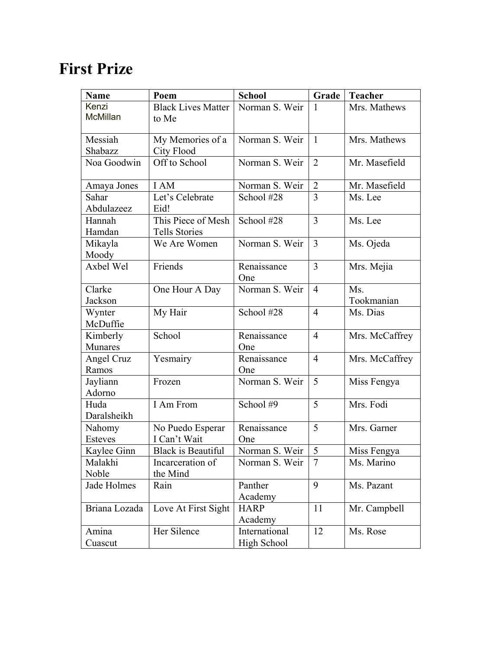## **First Prize**

| <b>Name</b>     | Poem                               | <b>School</b>      | Grade          | <b>Teacher</b> |
|-----------------|------------------------------------|--------------------|----------------|----------------|
| Kenzi           | <b>Black Lives Matter</b>          | Norman S. Weir     | 1              | Mrs. Mathews   |
| <b>McMillan</b> | to Me                              |                    |                |                |
| Messiah         |                                    | Norman S. Weir     |                |                |
| Shabazz         | My Memories of a                   |                    | $\mathbf{1}$   | Mrs. Mathews   |
| Noa Goodwin     | <b>City Flood</b><br>Off to School | Norman S. Weir     | $\overline{2}$ |                |
|                 |                                    |                    |                | Mr. Masefield  |
| Amaya Jones     | I AM                               | Norman S. Weir     | $\overline{2}$ | Mr. Masefield  |
| Sahar           | Let's Celebrate                    | School #28         | 3              | Ms. Lee        |
| Abdulazeez      | Eid!                               |                    |                |                |
| Hannah          | This Piece of Mesh                 | School #28         | 3              | Ms. Lee        |
| Hamdan          | Tells Stories                      |                    |                |                |
| Mikayla         | We Are Women                       | Norman S. Weir     | 3              | Ms. Ojeda      |
| Moody           |                                    |                    |                |                |
| Axbel Wel       | Friends                            | Renaissance        | 3              | Mrs. Mejia     |
|                 |                                    | One                |                |                |
| Clarke          | One Hour A Day                     | Norman S. Weir     | $\overline{4}$ | Ms.            |
| Jackson         |                                    |                    |                | Tookmanian     |
| Wynter          | My Hair                            | School #28         | $\overline{4}$ | Ms. Dias       |
| McDuffie        |                                    |                    |                |                |
| Kimberly        | School                             | Renaissance        | $\overline{4}$ | Mrs. McCaffrey |
| Munares         |                                    | One                |                |                |
| Angel Cruz      | Yesmairy                           | Renaissance        | $\overline{4}$ | Mrs. McCaffrey |
| Ramos           |                                    | One                |                |                |
| Jayliann        | Frozen                             | Norman S. Weir     | 5              | Miss Fengya    |
| Adorno          |                                    |                    |                |                |
| Huda            | I Am From                          | School #9          | 5              | Mrs. Fodi      |
| Daralsheikh     |                                    |                    |                |                |
| Nahomy          | No Puedo Esperar                   | Renaissance        | 5              | Mrs. Garner    |
| <b>Esteves</b>  | I Can't Wait                       | One                |                |                |
| Kaylee Ginn     | <b>Black is Beautiful</b>          | Norman S. Weir     | 5              | Miss Fengya    |
| Malakhi         | Incarceration of                   | Norman S. Weir     | 7              | Ms. Marino     |
| Noble           | the Mind                           |                    |                |                |
| Jade Holmes     | Rain                               | Panther            | 9              | Ms. Pazant     |
|                 |                                    | Academy            |                |                |
| Briana Lozada   | Love At First Sight                | <b>HARP</b>        | 11             | Mr. Campbell   |
|                 |                                    | Academy            |                |                |
| Amina           | Her Silence                        | International      | 12             | Ms. Rose       |
| Cuascut         |                                    | <b>High School</b> |                |                |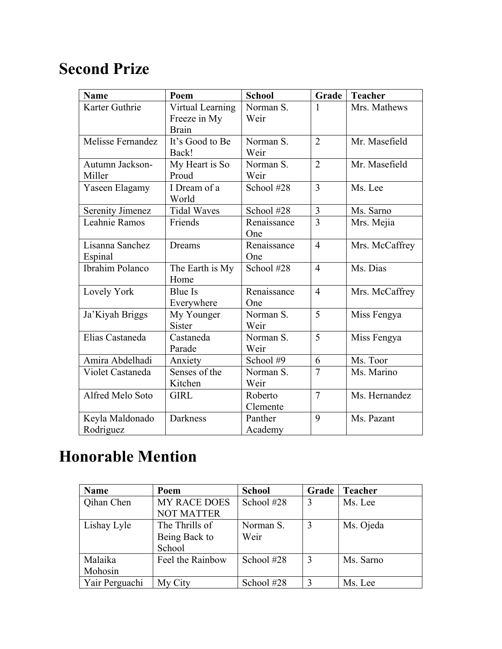## **Second Prize**

| <b>Name</b>             | Poem               | <b>School</b> | Grade          | <b>Teacher</b> |
|-------------------------|--------------------|---------------|----------------|----------------|
| Karter Guthrie          | Virtual Learning   | Norman S.     | 1              | Mrs. Mathews   |
|                         | Freeze in My       | Weir          |                |                |
|                         | <b>Brain</b>       |               |                |                |
| Melisse Fernandez       | It's Good to Be    | Norman S.     | $\overline{2}$ | Mr. Masefield  |
|                         | Back!              | Weir          |                |                |
| Autumn Jackson-         | My Heart is So     | Norman S.     | $\overline{2}$ | Mr. Masefield  |
| Miller                  | Proud              | Weir          |                |                |
| Yaseen Elagamy          | I Dream of a       | School #28    | 3              | Ms. Lee        |
|                         | World              |               |                |                |
| <b>Serenity Jimenez</b> | <b>Tidal Waves</b> | School #28    | 3              | Ms. Sarno      |
| Leahnie Ramos           | Friends            | Renaissance   | 3              | Mrs. Mejia     |
|                         |                    | One           |                |                |
| Lisanna Sanchez         | Dreams             | Renaissance   | $\overline{4}$ | Mrs. McCaffrey |
| Espinal                 |                    | One           |                |                |
| Ibrahim Polanco         | The Earth is My    | School #28    | $\overline{4}$ | Ms. Dias       |
|                         | Home               |               |                |                |
| Lovely York             | <b>Blue Is</b>     | Renaissance   | $\overline{4}$ | Mrs. McCaffrey |
|                         | Everywhere         | One           |                |                |
| Ja'Kiyah Briggs         | My Younger         | Norman S.     | 5              | Miss Fengya    |
|                         | Sister             | Weir          |                |                |
| Elias Castaneda         | Castaneda          | Norman S.     | 5              | Miss Fengya    |
|                         | Parade             | Weir          |                |                |
| Amira Abdelhadi         | Anxiety            | School #9     | 6              | Ms. Toor       |
| Violet Castaneda        | Senses of the      | Norman S.     | 7              | Ms. Marino     |
|                         | Kitchen            | Weir          |                |                |
| Alfred Melo Soto        | <b>GIRL</b>        | Roberto       | $\overline{7}$ | Ms. Hernandez  |
|                         |                    | Clemente      |                |                |
| Keyla Maldonado         | Darkness           | Panther       | 9              | Ms. Pazant     |
| Rodriguez               |                    | Academy       |                |                |

## **Honorable Mention**

| <b>Name</b>    | Poem                | <b>School</b> | Grade | Teacher   |
|----------------|---------------------|---------------|-------|-----------|
| Qihan Chen     | <b>MY RACE DOES</b> | School #28    | 3     | Ms. Lee   |
|                | <b>NOT MATTER</b>   |               |       |           |
| Lishay Lyle    | The Thrills of      | Norman S.     | 3     | Ms. Ojeda |
|                | Being Back to       | Weir          |       |           |
|                | School              |               |       |           |
| Malaika        | Feel the Rainbow    | School #28    | 3     | Ms. Sarno |
| Mohosin        |                     |               |       |           |
| Yair Perguachi | My City             | School #28    | 3     | Ms. Lee   |